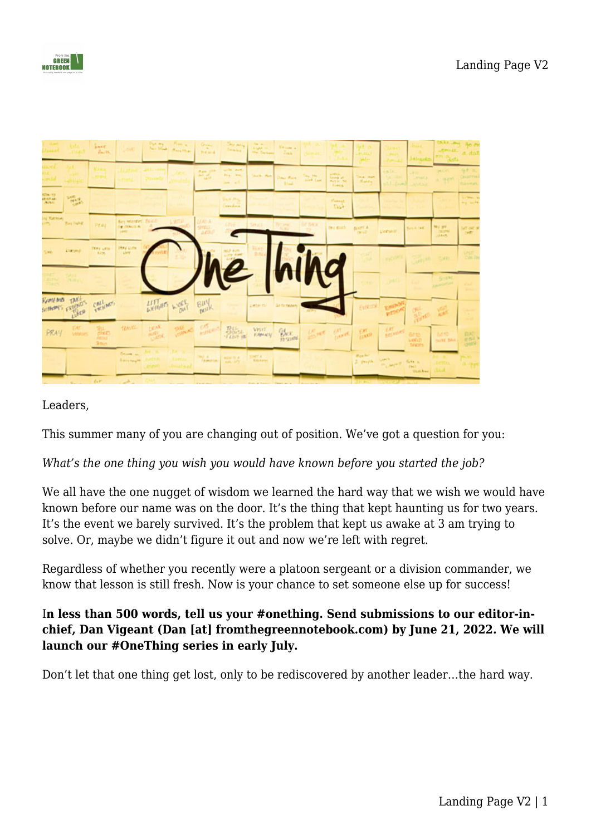

| Lissant                         |                     | anne.<br>$B_{\rm max}$ 16.        |                                                        |                              | 22 miles | <b>Green</b><br><b>B-6 and</b>        | <b>Chryswall</b><br>Sewan .                                                                                                                                                                                             | <b>TAL 4</b><br><b>Light</b> Inc.<br>the Danison | <b>Titions</b> at<br>$\mathcal{I}_{\text{max}}$ |                                      |                                                 |                                                    |                                                 | <b>Miscritz</b>                      | D.K.L., But<br><b>RHUSS.</b>         | Bo Pr<br>$A$ dot                               |
|---------------------------------|---------------------|-----------------------------------|--------------------------------------------------------|------------------------------|----------|---------------------------------------|-------------------------------------------------------------------------------------------------------------------------------------------------------------------------------------------------------------------------|--------------------------------------------------|-------------------------------------------------|--------------------------------------|-------------------------------------------------|----------------------------------------------------|-------------------------------------------------|--------------------------------------|--------------------------------------|------------------------------------------------|
| <b>USUACE</b><br><b>Section</b> |                     |                                   |                                                        |                              |          | Aug pit<br>$\frac{1}{2} \frac{d}{dt}$ | such seed.<br><b>Bra</b> less,<br>Jam, all                                                                                                                                                                              | <b>Shark, Aust</b>                               | Days Rook<br><b>Black</b>                       | $\mathbb{Z}_{\mathrm{loc}}^{\infty}$ | umi.<br>Imir e<br>Mark let 1980<br><b>Times</b> | Seul, mart<br>Marke                                | <b>CINCIDE</b><br><b>NACCIONAL</b><br>A.L. (mm) | ٠<br><b>Armid E.</b><br><b>ANAIN</b> | <b>JACKS</b><br>大 原料                 | of a<br><b>SUSPICE</b><br><b>COUNDS</b>        |
| <b>STALTS</b><br>MARTAE         |                     |                                   |                                                        |                              |          |                                       | $\frac{1}{2} \left( \partial_{\alpha} \right) \frac{1}{2} \left( \frac{\partial \mathcal{L}}{\partial \alpha} \right) \frac{1}{2} \left( \frac{\partial \mathcal{L}}{\partial \alpha} \right)$<br><b>Street America</b> |                                                  |                                                 |                                      | Hannel.<br><b>Daily</b>                         |                                                    |                                                 |                                      |                                      | $\frac{1}{\omega_1} \frac{\omega_1}{\omega_2}$ |
| by Retton<br><b>Little</b>      | <b>Bay NAHE</b>     | Pray.                             | Best Market, Taliff<br><b>CE CANADE IN</b><br>Law Cir. |                              | LWITH    | <b>UAN A</b><br>安全山<br>settin         |                                                                                                                                                                                                                         | SHEE                                             |                                                 | <b>THERE</b>                         | TWO RIGHT                                       | <b>BORTA</b>                                       | <b>Derival</b>                                  | <b>Burn A cast</b>                   | No yet<br>mine<br><b>LEARN</b>       | <b>SIT INT IN</b><br>netti.                    |
| SHO                             | <b>Darsey</b>       | TRAY LITTle<br><b>RIDE</b>        | PEAN LOTH<br><b>ARM</b>                                |                              |          |                                       |                                                                                                                                                                                                                         |                                                  |                                                 |                                      |                                                 |                                                    | <b>SEITE</b>                                    |                                      | other can                            | UNIT.<br>Call To                               |
| <b>SHEET</b><br>CALIFAC         | SAIL<br><b>DOWN</b> |                                   |                                                        |                              |          |                                       | $\mathcal{L}$                                                                                                                                                                                                           |                                                  |                                                 | AO.                                  |                                                 |                                                    |                                                 |                                      | Stand.<br><b><i>Installation</i></b> |                                                |
|                                 | Romand Taxis        | CALLANT                           |                                                        | WEIGHT WORK                  |          | <b>Buy</b>                            |                                                                                                                                                                                                                         | <b>LOOKING</b>                                   | Sit for the photo                               |                                      |                                                 | <b>EVRITA</b>                                      | <b>Research</b>                                 | allen Ave                            |                                      |                                                |
| <b>PRAY</b>                     | <b>Vitation</b>     | THE.<br>CHIC<br><b>Stark</b>      | TEACHER                                                | <b>DEAK</b><br><b>MARINE</b> |          | <b>PIE AS LOCALES</b>                 | $R_{\text{core}}^{LL}$                                                                                                                                                                                                  | <b>VEHT</b><br><b>EAN-KY</b>                     | $Q_{\text{ACK}}$<br>10-23004                    |                                      | Seat Count                                      | $\frac{\partial \mathcal{H}}{\partial \mathbf{z}}$ | <b>CATTAINERS</b>                               | 6415<br>LAND                         | N.F. YO<br>more basi.                | 隠                                              |
|                                 |                     |                                   | Bernett av<br><b>Robert Health</b>                     |                              |          | <b>Property Lines</b>                 |                                                                                                                                                                                                                         | SIMTA                                            |                                                 |                                      |                                                 | Was bel<br>$2$ paper.                              | <b>CARL</b><br>Comp force                       | Vantes Link                          |                                      | D. Oan                                         |
|                                 |                     | $\mathcal{A}$ , and $\mathcal{A}$ | <b>CONTRACTOR</b>                                      |                              |          |                                       |                                                                                                                                                                                                                         |                                                  |                                                 |                                      |                                                 |                                                    |                                                 |                                      |                                      |                                                |

## Leaders,

This summer many of you are changing out of position. We've got a question for you:

## *What's the one thing you wish you would have known before you started the job?*

We all have the one nugget of wisdom we learned the hard way that we wish we would have known before our name was on the door. It's the thing that kept haunting us for two years. It's the event we barely survived. It's the problem that kept us awake at 3 am trying to solve. Or, maybe we didn't figure it out and now we're left with regret.

Regardless of whether you recently were a platoon sergeant or a division commander, we know that lesson is still fresh. Now is your chance to set someone else up for success!

## I**n less than 500 words, tell us your #onething. Send submissions to our editor-inchief, Dan Vigeant (Dan [at] fromthegreennotebook.com) by June 21, 2022. We will launch our #OneThing series in early July.**

Don't let that one thing get lost, only to be rediscovered by another leader…the hard way.